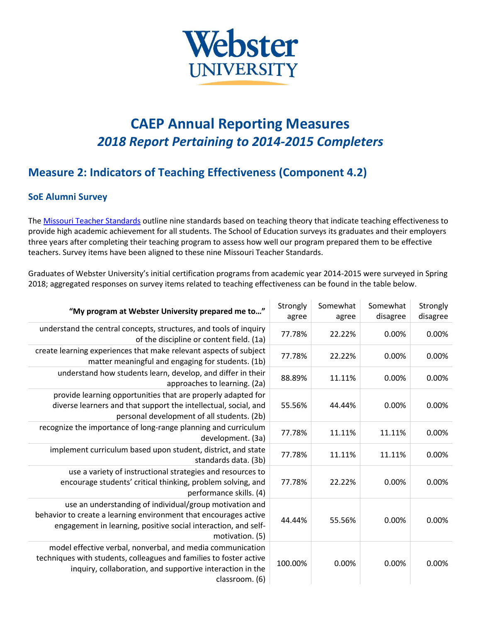

## **CAEP Annual Reporting Measures** *2018 Report Pertaining to 2014-2015 Completers*

## **Measure 2: Indicators of Teaching Effectiveness (Component 4.2)**

## **SoE Alumni Survey**

The [Missouri Teacher Standards](https://dese.mo.gov/sites/default/files/TeacherStandards.pdf) outline nine standards based on teaching theory that indicate teaching effectiveness to provide high academic achievement for all students. The School of Education surveys its graduates and their employers three years after completing their teaching program to assess how well our program prepared them to be effective teachers. Survey items have been aligned to these nine Missouri Teacher Standards.

Graduates of Webster University's initial certification programs from academic year 2014-2015 were surveyed in Spring 2018; aggregated responses on survey items related to teaching effectiveness can be found in the table below.

| "My program at Webster University prepared me to"                                                                                                                                                                | Strongly<br>agree | Somewhat<br>agree | Somewhat<br>disagree | Strongly<br>disagree |
|------------------------------------------------------------------------------------------------------------------------------------------------------------------------------------------------------------------|-------------------|-------------------|----------------------|----------------------|
| understand the central concepts, structures, and tools of inquiry<br>of the discipline or content field. (1a)                                                                                                    | 77.78%            | 22.22%            | 0.00%                | 0.00%                |
| create learning experiences that make relevant aspects of subject<br>matter meaningful and engaging for students. (1b)                                                                                           | 77.78%            | 22.22%            | 0.00%                | 0.00%                |
| understand how students learn, develop, and differ in their<br>approaches to learning. (2a)                                                                                                                      | 88.89%            | 11.11%            | 0.00%                | 0.00%                |
| provide learning opportunities that are properly adapted for<br>diverse learners and that support the intellectual, social, and<br>personal development of all students. (2b)                                    | 55.56%            | 44.44%            | 0.00%                | 0.00%                |
| recognize the importance of long-range planning and curriculum<br>development. (3a)                                                                                                                              | 77.78%            | 11.11%            | 11.11%               | 0.00%                |
| implement curriculum based upon student, district, and state<br>standards data. (3b)                                                                                                                             | 77.78%            | 11.11%            | 11.11%               | 0.00%                |
| use a variety of instructional strategies and resources to<br>encourage students' critical thinking, problem solving, and<br>performance skills. (4)                                                             | 77.78%            | 22.22%            | 0.00%                | 0.00%                |
| use an understanding of individual/group motivation and<br>behavior to create a learning environment that encourages active<br>engagement in learning, positive social interaction, and self-<br>motivation. (5) | 44.44%            | 55.56%            | 0.00%                | 0.00%                |
| model effective verbal, nonverbal, and media communication<br>techniques with students, colleagues and families to foster active<br>inquiry, collaboration, and supportive interaction in the<br>classroom. (6)  | 100.00%           | 0.00%             | 0.00%                | 0.00%                |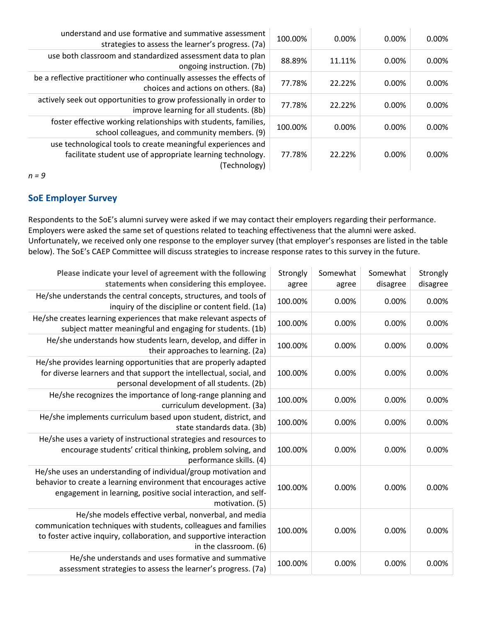| understand and use formative and summative assessment<br>strategies to assess the learner's progress. (7a)                                 | 100.00% | 0.00%  | 0.00% | 0.00% |
|--------------------------------------------------------------------------------------------------------------------------------------------|---------|--------|-------|-------|
| use both classroom and standardized assessment data to plan<br>ongoing instruction. (7b)                                                   | 88.89%  | 11.11% | 0.00% | 0.00% |
| be a reflective practitioner who continually assesses the effects of<br>choices and actions on others. (8a)                                | 77.78%  | 22.22% | 0.00% | 0.00% |
| actively seek out opportunities to grow professionally in order to<br>improve learning for all students. (8b)                              | 77.78%  | 22.22% | 0.00% | 0.00% |
| foster effective working relationships with students, families,<br>school colleagues, and community members. (9)                           | 100.00% | 0.00%  | 0.00% | 0.00% |
| use technological tools to create meaningful experiences and<br>facilitate student use of appropriate learning technology.<br>(Technology) | 77.78%  | 22.22% | 0.00% | 0.00% |

*n = 9*

## **SoE Employer Survey**

Respondents to the SoE's alumni survey were asked if we may contact their employers regarding their performance. Employers were asked the same set of questions related to teaching effectiveness that the alumni were asked. Unfortunately, we received only one response to the employer survey (that employer's responses are listed in the table below). The SoE's CAEP Committee will discuss strategies to increase response rates to this survey in the future.

| Please indicate your level of agreement with the following<br>statements when considering this employee.                                                                                                                 | Strongly<br>agree | Somewhat<br>agree | Somewhat<br>disagree | Strongly<br>disagree |
|--------------------------------------------------------------------------------------------------------------------------------------------------------------------------------------------------------------------------|-------------------|-------------------|----------------------|----------------------|
| He/she understands the central concepts, structures, and tools of<br>inquiry of the discipline or content field. (1a)                                                                                                    | 100.00%           | 0.00%             | 0.00%                | 0.00%                |
| He/she creates learning experiences that make relevant aspects of<br>subject matter meaningful and engaging for students. (1b)                                                                                           | 100.00%           | 0.00%             | 0.00%                | 0.00%                |
| He/she understands how students learn, develop, and differ in<br>their approaches to learning. (2a)                                                                                                                      | 100.00%           | 0.00%             | 0.00%                | 0.00%                |
| He/she provides learning opportunities that are properly adapted<br>for diverse learners and that support the intellectual, social, and<br>personal development of all students. (2b)                                    | 100.00%           | 0.00%             | 0.00%                | 0.00%                |
| He/she recognizes the importance of long-range planning and<br>curriculum development. (3a)                                                                                                                              | 100.00%           | 0.00%             | 0.00%                | 0.00%                |
| He/she implements curriculum based upon student, district, and<br>state standards data. (3b)                                                                                                                             | 100.00%           | 0.00%             | 0.00%                | 0.00%                |
| He/she uses a variety of instructional strategies and resources to<br>encourage students' critical thinking, problem solving, and<br>performance skills. (4)                                                             | 100.00%           | 0.00%             | 0.00%                | 0.00%                |
| He/she uses an understanding of individual/group motivation and<br>behavior to create a learning environment that encourages active<br>engagement in learning, positive social interaction, and self-<br>motivation. (5) | 100.00%           | 0.00%             | 0.00%                | 0.00%                |
| He/she models effective verbal, nonverbal, and media<br>communication techniques with students, colleagues and families<br>to foster active inquiry, collaboration, and supportive interaction<br>in the classroom. (6)  | 100.00%           | 0.00%             | 0.00%                | 0.00%                |
| He/she understands and uses formative and summative<br>assessment strategies to assess the learner's progress. (7a)                                                                                                      | 100.00%           | 0.00%             | 0.00%                | 0.00%                |